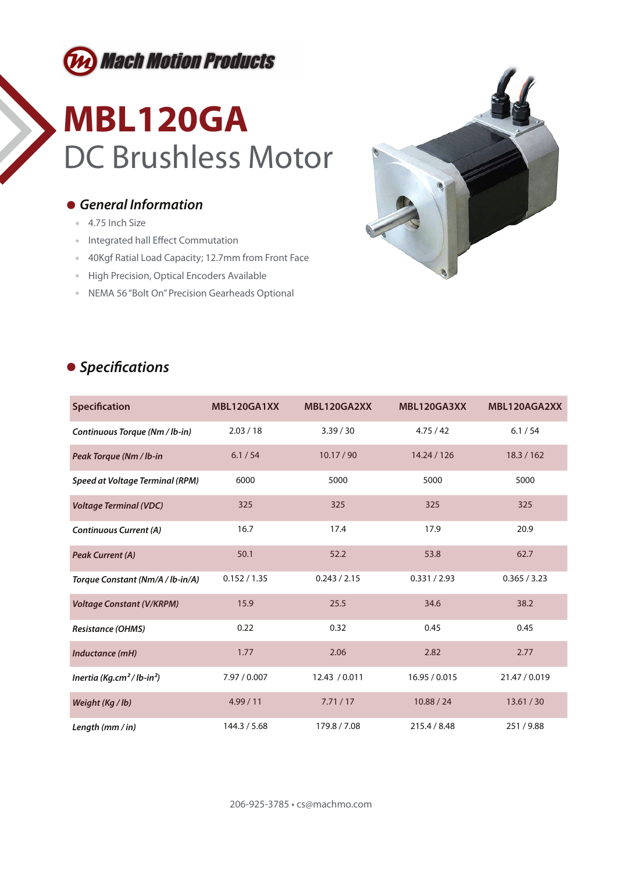

## **MBL120GA** DC Brushless Motor

### *General Information*

- 4.75 Inch Size
- Integrated hall Effect Commutation
- 40Kgf Ratial Load Capacity; 12.7mm from Front Face
- **High Precision, Optical Encoders Available**
- NEMA 56 "Bolt On" Precision Gearheads Optional



### **•** Specifications

| Specification                                     | MBL120GA1XX  | MBL120GA2XX   | MBL120GA3XX   | MBL120AGA2XX  |
|---------------------------------------------------|--------------|---------------|---------------|---------------|
| Continuous Torque (Nm / lb-in)                    | 2.03 / 18    | 3.39 / 30     | 4.75/42       | 6.1 / 54      |
| Peak Torque (Nm / lb-in                           | 6.1 / 54     | 10.17 / 90    | 14.24 / 126   | 18.3 / 162    |
| <b>Speed at Voltage Terminal (RPM)</b>            | 6000         | 5000          | 5000          | 5000          |
| <b>Voltage Terminal (VDC)</b>                     | 325          | 325           | 325           | 325           |
| <b>Continuous Current (A)</b>                     | 16.7         | 17.4          | 17.9          | 20.9          |
| <b>Peak Current (A)</b>                           | 50.1         | 52.2          | 53.8          | 62.7          |
| Torque Constant (Nm/A / lb-in/A)                  | 0.152 / 1.35 | 0.243 / 2.15  | 0.331 / 2.93  | 0.365 / 3.23  |
| <b>Voltage Constant (V/KRPM)</b>                  | 15.9         | 25.5          | 34.6          | 38.2          |
| <b>Resistance (OHMS)</b>                          | 0.22         | 0.32          | 0.45          | 0.45          |
| Inductance (mH)                                   | 1.77         | 2.06          | 2.82          | 2.77          |
| Inertia (Kg.cm <sup>2</sup> /lb-in <sup>2</sup> ) | 7.97 / 0.007 | 12.43 / 0.011 | 16.95 / 0.015 | 21.47 / 0.019 |
| Weight (Kg / lb)                                  | 4.99/11      | 7.71/17       | 10.88 / 24    | 13.61 / 30    |
| Length $(mm/in)$                                  | 144.3 / 5.68 | 179.8 / 7.08  | 215.4 / 8.48  | 251/9.88      |